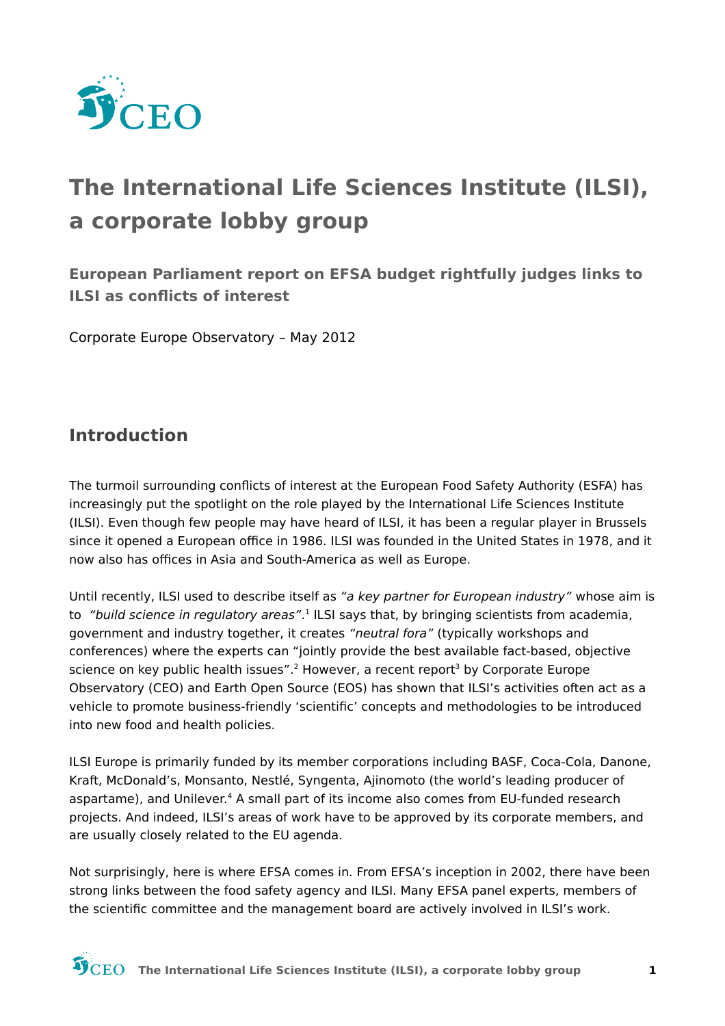

# The International Life Sciences Institute (ILSI), a corporate lobby group

European Parliament report on EFSA budget rightfully judges links to **ILSI as conflicts of interest** 

Corporate Europe Observatory - May 2012

#### **Introduction**

The turmoil surrounding conflicts of interest at the European Food Safety Authority (ESFA) has increasingly put the spotlight on the role played by the International Life Sciences Institute (ILSI). Even though few people may have heard of ILSI, it has been a regular player in Brussels since it opened a European office in 1986. ILSI was founded in the United States in 1978, and it now also has offices in Asia and South-America as well as Europe.

Until recently, ILSI used to describe itself as "a key partner for European industry" whose aim is to "build science in regulatory areas".<sup>1</sup> ILSI says that, by bringing scientists from academia, government and industry together, it creates "neutral fora" (typically workshops and conferences) where the experts can "jointly provide the best available fact-based, objective science on key public health issues".<sup>2</sup> However, a recent report<sup>3</sup> by Corporate Europe Observatory (CEO) and Earth Open Source (EOS) has shown that ILSI's activities often act as a vehicle to promote business-friendly 'scientific' concepts and methodologies to be introduced into new food and health policies.

ILSI Europe is primarily funded by its member corporations including BASF, Coca-Cola, Danone, Kraft, McDonald's, Monsanto, Nestlé, Syngenta, Ajinomoto (the world's leading producer of aspartame), and Unilever.<sup>4</sup> A small part of its income also comes from EU-funded research projects. And indeed, ILSI's areas of work have to be approved by its corporate members, and are usually closely related to the EU agenda.

Not surprisingly, here is where EFSA comes in. From EFSA's inception in 2002, there have been strong links between the food safety agency and ILSI. Many EFSA panel experts, members of the scientific committee and the management board are actively involved in ILSI's work.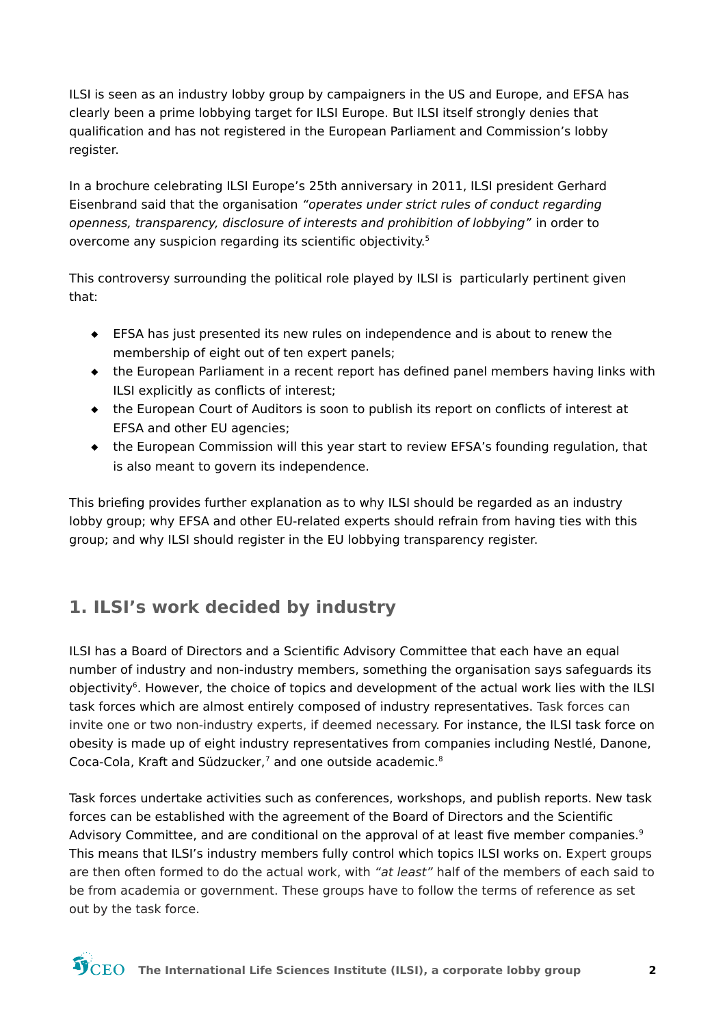ILSI is seen as an industry lobby group by campaigners in the US and Europe, and EFSA has clearly been a prime lobbying target for ILSI Europe. But ILSI itself strongly denies that qualification and has not registered in the European Parliament and Commission's lobby register.

In a brochure celebrating ILSI Europe's 25th anniversary in 2011, ILSI president Gerhard Eisenbrand said that the organisation "operates under strict rules of conduct regarding openness, transparency, disclosure of interests and prohibition of lobbying" in order to overcome any suspicion regarding its scientific objectivity.<sup>5</sup>

This controversy surrounding the political role played by ILSI is particularly pertinent given that:

- EFSA has just presented its new rules on independence and is about to renew the membership of eight out of ten expert panels;
- the European Parliament in a recent report has defined panel members having links with ILSI explicitly as conflicts of interest;
- the European Court of Auditors is soon to publish its report on conflicts of interest at EFSA and other EU agencies;
- the European Commission will this year start to review EFSA's founding regulation, that is also meant to govern its independence.

This briefing provides further explanation as to why ILSI should be regarded as an industry lobby group; why EFSA and other EU-related experts should refrain from having ties with this group; and why ILSI should register in the EU lobbying transparency register.

# 1. ILSI's work decided by industry

ILSI has a Board of Directors and a Scientific Advisory Committee that each have an equal number of industry and non-industry members, something the organisation says safeguards its objectivity<sup>6</sup>. However, the choice of topics and development of the actual work lies with the ILSI task forces which are almost entirely composed of industry representatives. Task forces can invite one or two non-industry experts, if deemed necessary. For instance, the ILSI task force on obesity is made up of eight industry representatives from companies including Nestlé, Danone, Coca-Cola, Kraft and Südzucker,<sup>7</sup> and one outside academic.<sup>8</sup>

Task forces undertake activities such as conferences, workshops, and publish reports. New task forces can be established with the agreement of the Board of Directors and the Scientific Advisory Committee, and are conditional on the approval of at least five member companies.<sup>9</sup> This means that ILSI's industry members fully control which topics ILSI works on. Expert groups are then often formed to do the actual work, with "at least" half of the members of each said to be from academia or government. These groups have to follow the terms of reference as set out by the task force.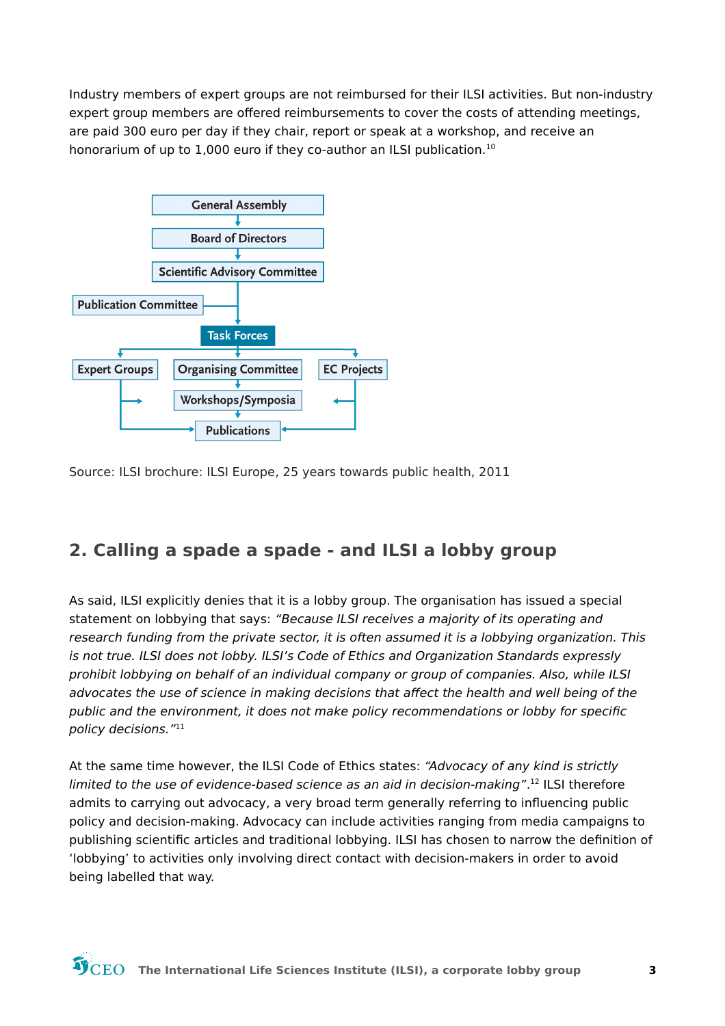Industry members of expert groups are not reimbursed for their ILSI activities. But non-industry expert group members are offered reimbursements to cover the costs of attending meetings, are paid 300 euro per day if they chair, report or speak at a workshop, and receive an honorarium of up to 1,000 euro if they co-author an ILSI publication.<sup>10</sup>



Source: ILSI brochure: ILSI Europe, 25 years towards public health, 2011

### 2. Calling a spade a spade - and ILSI a lobby group

As said, ILSI explicitly denies that it is a lobby group. The organisation has issued a special statement on lobbying that says: "Because ILSI receives a majority of its operating and research funding from the private sector, it is often assumed it is a lobbying organization. This is not true. ILSI does not lobby. ILSI's Code of Ethics and Organization Standards expressly prohibit lobbying on behalf of an individual company or group of companies. Also, while ILSI advocates the use of science in making decisions that affect the health and well being of the public and the environment, it does not make policy recommendations or lobby for specific policy decisions."11

At the same time however, the ILSI Code of Ethics states: "Advocacy of any kind is strictly limited to the use of evidence-based science as an aid in decision-making".<sup>12</sup> ILSI therefore admits to carrying out advocacy, a very broad term generally referring to influencing public policy and decision-making. Advocacy can include activities ranging from media campaigns to publishing scientific articles and traditional lobbying. ILSI has chosen to narrow the definition of 'lobbying' to activities only involving direct contact with decision-makers in order to avoid being labelled that way.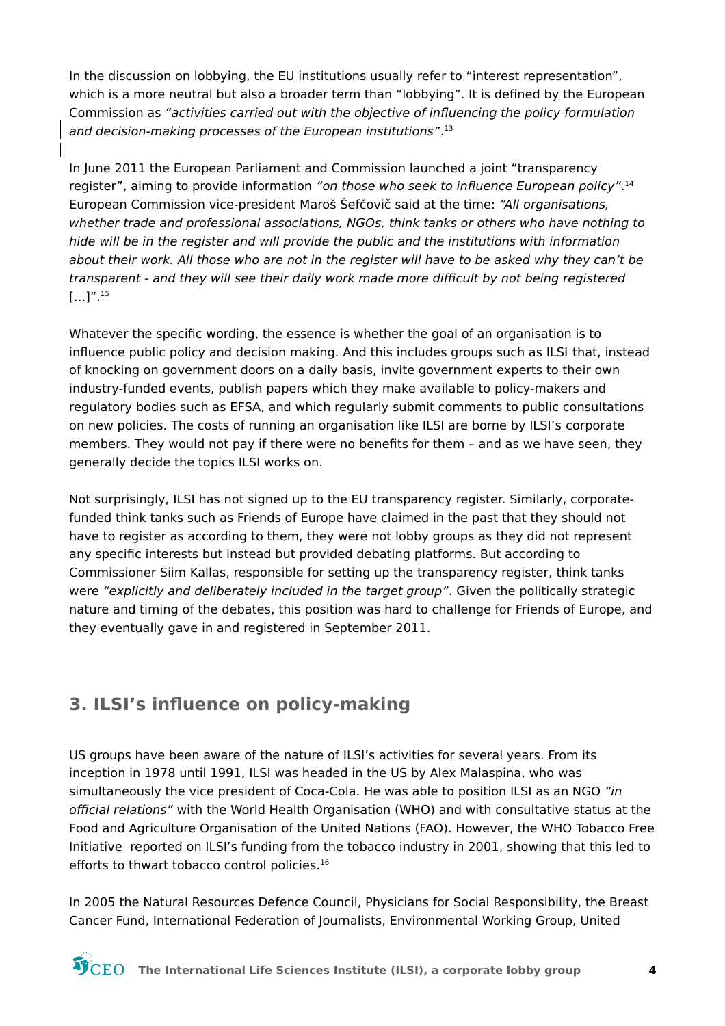In the discussion on lobbying, the EU institutions usually refer to "interest representation", which is a more neutral but also a broader term than "lobbying". It is defined by the European Commission as "activities carried out with the objective of influencing the policy formulation and decision-making processes of the European institutions".<sup>13</sup>

In June 2011 the European Parliament and Commission launched a joint "transparency register", aiming to provide information "on those who seek to influence European policy".<sup>14</sup> European Commission vice-president Maroš Šefčovič said at the time: "All organisations, whether trade and professional associations, NGOs, think tanks or others who have nothing to hide will be in the register and will provide the public and the institutions with information about their work. All those who are not in the register will have to be asked why they can't be transparent - and they will see their daily work made more difficult by not being registered  $\left[\ldots\right]$ ".<sup>15</sup>

Whatever the specific wording, the essence is whether the goal of an organisation is to influence public policy and decision making. And this includes groups such as ILSI that, instead of knocking on government doors on a daily basis, invite government experts to their own industry-funded events, publish papers which they make available to policy-makers and regulatory bodies such as EFSA, and which regularly submit comments to public consultations on new policies. The costs of running an organisation like ILSI are borne by ILSI's corporate members. They would not pay if there were no benefits for them - and as we have seen, they generally decide the topics ILSI works on.

Not surprisingly, ILSI has not signed up to the EU transparency register. Similarly, corporatefunded think tanks such as Friends of Europe have claimed in the past that they should not have to register as according to them, they were not lobby groups as they did not represent any specific interests but instead but provided debating platforms. But according to Commissioner Siim Kallas, responsible for setting up the transparency register, think tanks were "explicitly and deliberately included in the target group". Given the politically strategic nature and timing of the debates, this position was hard to challenge for Friends of Europe, and they eventually gave in and registered in September 2011.

### 3. ILSI's influence on policy-making

US groups have been aware of the nature of ILSI's activities for several years. From its inception in 1978 until 1991, ILSI was headed in the US by Alex Malaspina, who was simultaneously the vice president of Coca-Cola. He was able to position ILSI as an NGO "in official relations" with the World Health Organisation (WHO) and with consultative status at the Food and Agriculture Organisation of the United Nations (FAO). However, the WHO Tobacco Free Initiative reported on ILSI's funding from the tobacco industry in 2001, showing that this led to efforts to thwart tobacco control policies.<sup>16</sup>

In 2005 the Natural Resources Defence Council, Physicians for Social Responsibility, the Breast Cancer Fund, International Federation of Journalists, Environmental Working Group, United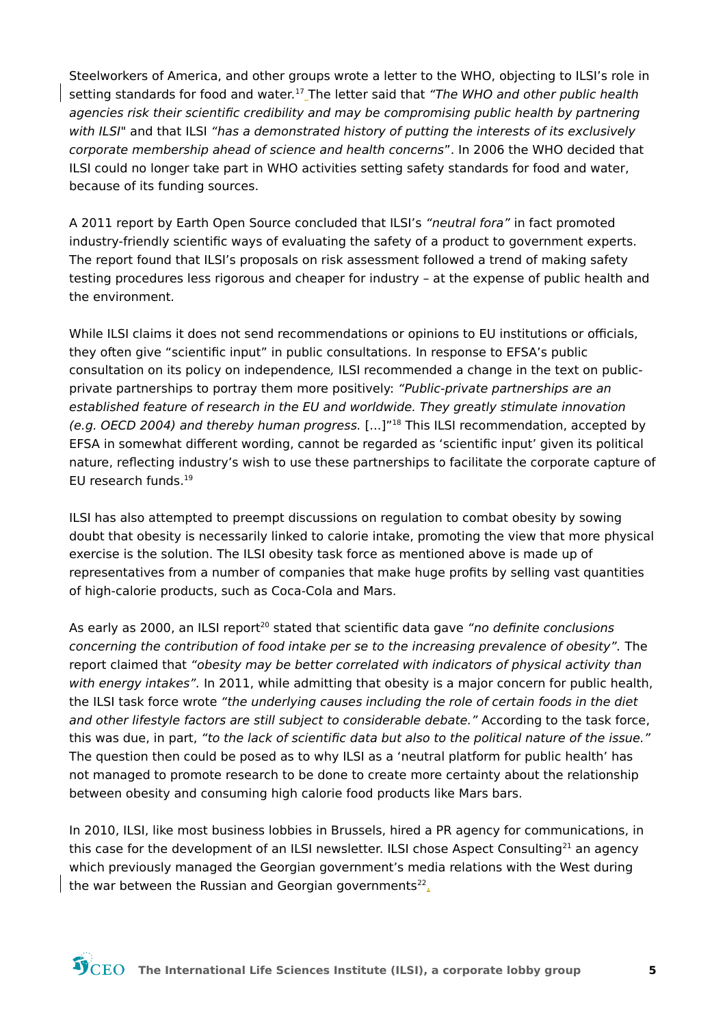Steelworkers of America, and other groups wrote a letter to the WHO, objecting to ILSI's role in setting standards for food and water.<sup>17</sup> The letter said that "The WHO and other public health agencies risk their scientific credibility and may be compromising public health by partnering with ILSI" and that ILSI "has a demonstrated history of putting the interests of its exclusively corporate membership ahead of science and health concerns". In 2006 the WHO decided that ILSI could no longer take part in WHO activities setting safety standards for food and water, because of its funding sources.

A 2011 report by Earth Open Source concluded that ILSI's "neutral fora" in fact promoted industry-friendly scientific ways of evaluating the safety of a product to government experts. The report found that ILSI's proposals on risk assessment followed a trend of making safety testing procedures less rigorous and cheaper for industry - at the expense of public health and the environment.

While ILSI claims it does not send recommendations or opinions to EU institutions or officials, they often give "scientific input" in public consultations. In response to EFSA's public consultation on its policy on independence, ILSI recommended a change in the text on publicprivate partnerships to portray them more positively: "Public-private partnerships are an established feature of research in the EU and worldwide. They greatly stimulate innovation (e.g. OECD 2004) and thereby human progress. [...]"<sup>18</sup> This ILSI recommendation, accepted by EFSA in somewhat different wording, cannot be regarded as 'scientific input' given its political nature, reflecting industry's wish to use these partnerships to facilitate the corporate capture of EU research funds.<sup>19</sup>

ILSI has also attempted to preempt discussions on regulation to combat obesity by sowing doubt that obesity is necessarily linked to calorie intake, promoting the view that more physical exercise is the solution. The ILSI obesity task force as mentioned above is made up of representatives from a number of companies that make huge profits by selling vast quantities of high-calorie products, such as Coca-Cola and Mars.

As early as 2000, an ILSI report<sup>20</sup> stated that scientific data gave "no definite conclusions concerning the contribution of food intake per se to the increasing prevalence of obesity". The report claimed that "obesity may be better correlated with indicators of physical activity than with energy intakes". In 2011, while admitting that obesity is a major concern for public health, the ILSI task force wrote "the underlying causes including the role of certain foods in the diet and other lifestyle factors are still subject to considerable debate." According to the task force, this was due, in part, "to the lack of scientific data but also to the political nature of the issue." The question then could be posed as to why ILSI as a 'neutral platform for public health' has not managed to promote research to be done to create more certainty about the relationship between obesity and consuming high calorie food products like Mars bars.

In 2010, ILSI, like most business lobbies in Brussels, hired a PR agency for communications, in this case for the development of an ILSI newsletter. ILSI chose Aspect Consulting<sup>21</sup> an agency which previously managed the Georgian government's media relations with the West during the war between the Russian and Georgian governments<sup>22</sup>.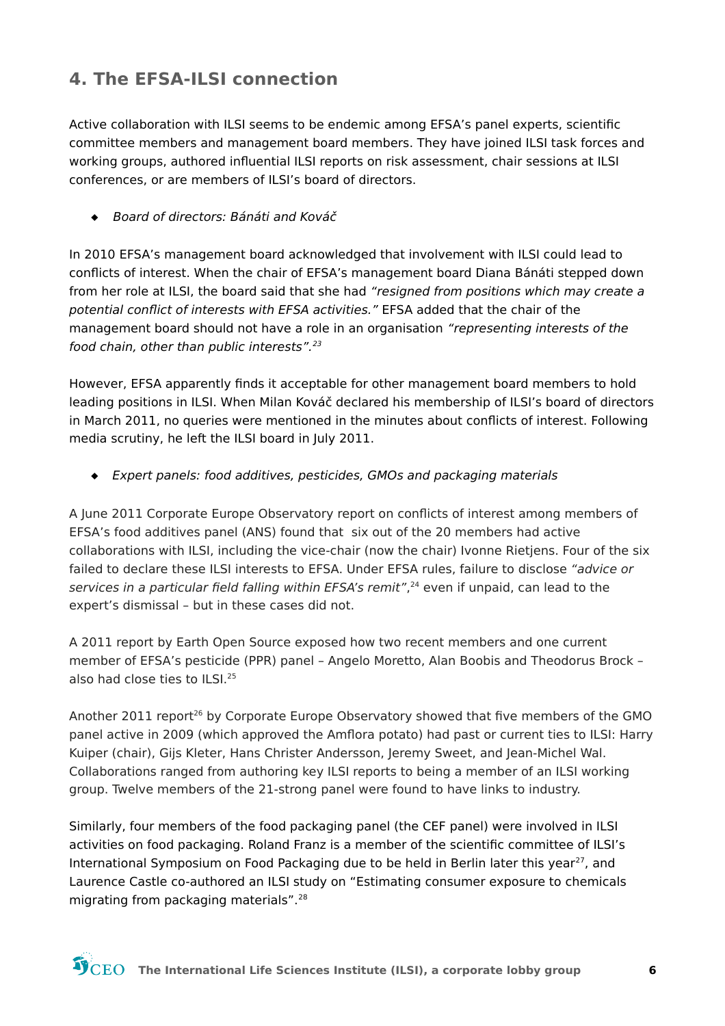### **4. The EFSA-ILSI connection**

Active collaboration with ILSI seems to be endemic among EFSA's panel experts, scientific committee members and management board members. They have joined ILSI task forces and working groups, authored influential ILSI reports on risk assessment, chair sessions at ILSI conferences, or are members of ILSI's board of directors.

 $\bullet$  Board of directors: Bánáti and Kováč

In 2010 EFSA's management board acknowledged that involvement with ILSI could lead to conflicts of interest. When the chair of EFSA's management board Diana Bánáti stepped down from her role at ILSI, the board said that she had "resigned from positions which may create a potential conflict of interests with EFSA activities." EFSA added that the chair of the management board should not have a role in an organisation "representing interests of the food chain, other than public interests".<sup>23</sup>

However, EFSA apparently finds it acceptable for other management board members to hold leading positions in ILSI. When Milan Kováč declared his membership of ILSI's board of directors in March 2011, no queries were mentioned in the minutes about conflicts of interest. Following media scrutiny, he left the ILSI board in July 2011.

Expert panels: food additives, pesticides, GMOs and packaging materials

A June 2011 Corporate Europe Observatory report on conflicts of interest among members of EFSA's food additives panel (ANS) found that six out of the 20 members had active collaborations with ILSI, including the vice-chair (now the chair) Ivonne Rietiens. Four of the six failed to declare these ILSI interests to EFSA. Under EFSA rules, failure to disclose "advice or services in a particular field falling within EFSA's remit",<sup>24</sup> even if unpaid, can lead to the expert's dismissal - but in these cases did not.

A 2011 report by Earth Open Source exposed how two recent members and one current member of EFSA's pesticide (PPR) panel - Angelo Moretto, Alan Boobis and Theodorus Brock also had close ties to ILSL.<sup>25</sup>

Another 2011 report<sup>26</sup> by Corporate Europe Observatory showed that five members of the GMO panel active in 2009 (which approved the Amflora potato) had past or current ties to ILSI: Harry Kuiper (chair), Gijs Kleter, Hans Christer Andersson, Jeremy Sweet, and Jean-Michel Wal. Collaborations ranged from authoring key ILSI reports to being a member of an ILSI working group. Twelve members of the 21-strong panel were found to have links to industry.

Similarly, four members of the food packaging panel (the CEF panel) were involved in ILSI activities on food packaging. Roland Franz is a member of the scientific committee of ILSI's International Symposium on Food Packaging due to be held in Berlin later this year<sup>27</sup>, and Laurence Castle co-authored an ILSI study on "Estimating consumer exposure to chemicals migrating from packaging materials".<sup>28</sup>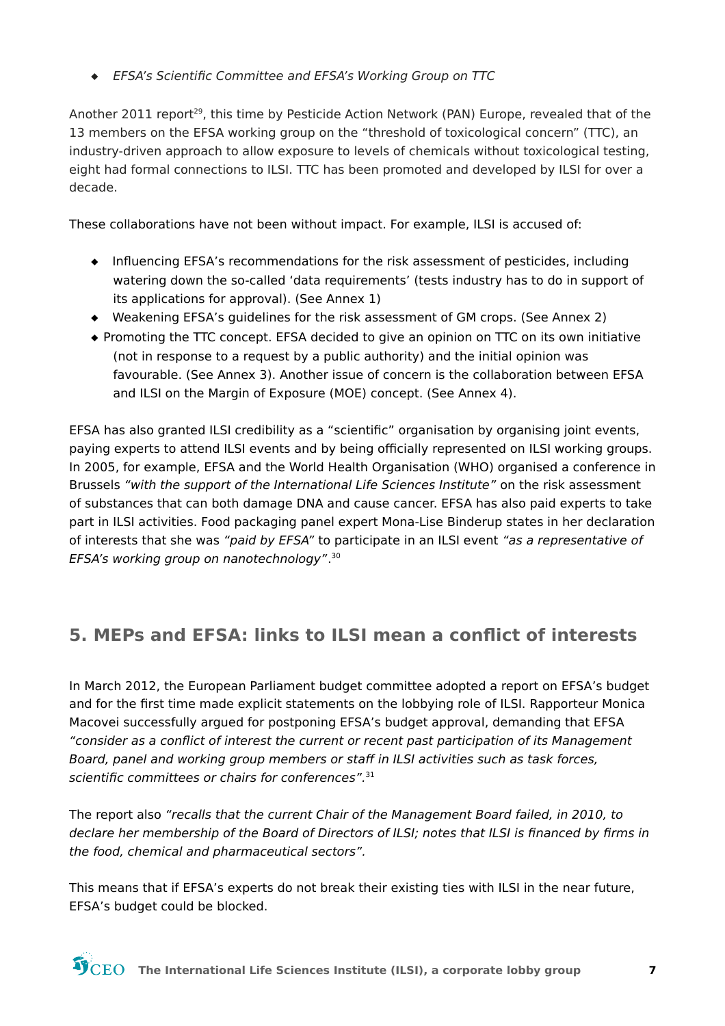♦ EFSA's Scientific Committee and EFSA's Working Group on TTC

Another 2011 report<sup>29</sup>, this time by Pesticide Action Network (PAN) Europe, revealed that of the 13 members on the EFSA working group on the "threshold of toxicological concern" (TTC), an industry-driven approach to allow exposure to levels of chemicals without toxicological testing, eight had formal connections to ILSI. TTC has been promoted and developed by ILSI for over a decade.

These collaborations have not been without impact. For example, ILSI is accused of:

- Influencing EFSA's recommendations for the risk assessment of pesticides, including watering down the so-called 'data requirements' (tests industry has to do in support of its applications for approval). (See Annex 1)
- ◆ Weakening EFSA's quidelines for the risk assessment of GM crops. (See Annex 2)
- ◆ Promoting the TTC concept. EFSA decided to give an opinion on TTC on its own initiative (not in response to a request by a public authority) and the initial opinion was favourable. (See Annex 3). Another issue of concern is the collaboration between EFSA and ILSI on the Margin of Exposure (MOE) concept. (See Annex 4).

EFSA has also granted ILSI credibility as a "scientific" organisation by organising joint events, paying experts to attend ILSI events and by being officially represented on ILSI working groups. In 2005, for example, EFSA and the World Health Organisation (WHO) organised a conference in Brussels "with the support of the International Life Sciences Institute" on the risk assessment of substances that can both damage DNA and cause cancer. EFSA has also paid experts to take part in ILSI activities. Food packaging panel expert Mona-Lise Binderup states in her declaration of interests that she was "paid by EFSA" to participate in an ILSI event "as a representative of EFSA's working group on nanotechnology".<sup>30</sup>

# 5. MEPs and EFSA: links to ILSI mean a conflict of interests

In March 2012, the European Parliament budget committee adopted a report on EFSA's budget and for the first time made explicit statements on the lobbying role of ILSI. Rapporteur Monica Macovei successfully argued for postponing EFSA's budget approval, demanding that EFSA "consider as a conflict of interest the current or recent past participation of its Management Board, panel and working group members or staff in ILSI activities such as task forces, scientific committees or chairs for conferences".<sup>31</sup>

The report also "recalls that the current Chair of the Management Board failed, in 2010, to declare her membership of the Board of Directors of ILSI; notes that ILSI is financed by firms in the food, chemical and pharmaceutical sectors".

This means that if EFSA's experts do not break their existing ties with ILSI in the near future, EFSA's budget could be blocked.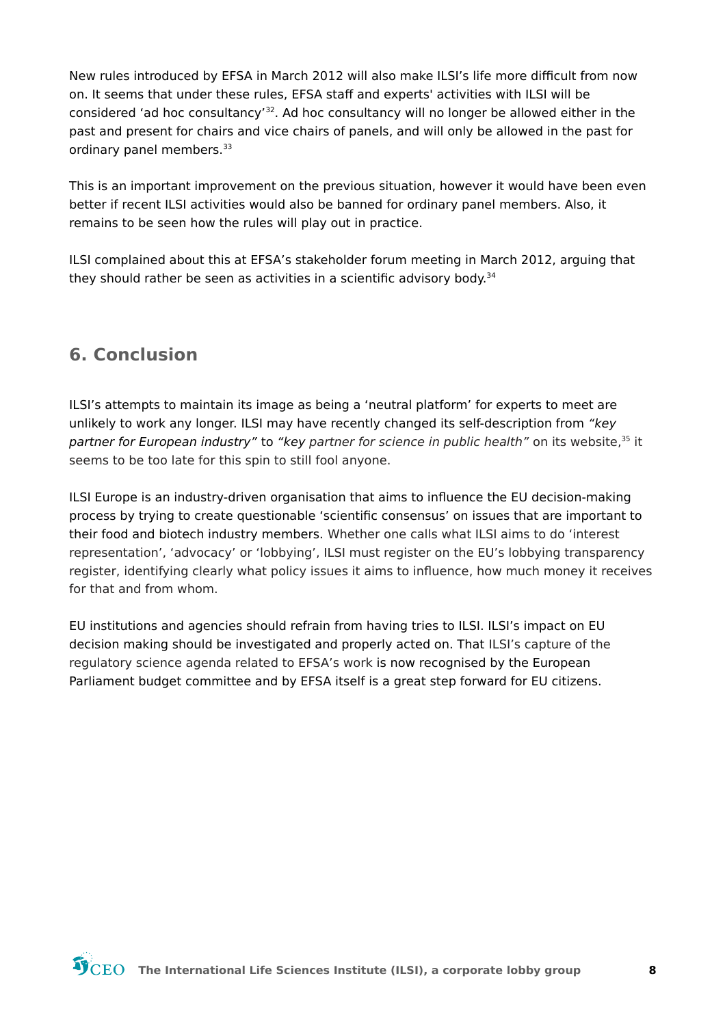New rules introduced by EFSA in March 2012 will also make ILSI's life more difficult from now on. It seems that under these rules, EFSA staff and experts' activities with ILSI will be considered 'ad hoc consultancy'<sup>32</sup>. Ad hoc consultancy will no longer be allowed either in the past and present for chairs and vice chairs of panels, and will only be allowed in the past for ordinary panel members.<sup>33</sup>

This is an important improvement on the previous situation, however it would have been even better if recent ILSI activities would also be banned for ordinary panel members. Also, it remains to be seen how the rules will play out in practice.

ILSI complained about this at EFSA's stakeholder forum meeting in March 2012, arguing that they should rather be seen as activities in a scientific advisory body.<sup>34</sup>

### 6. Conclusion

ILSI's attempts to maintain its image as being a 'neutral platform' for experts to meet are unlikely to work any longer. ILSI may have recently changed its self-description from "key partner for European industry" to "key partner for science in public health" on its website, 35 it seems to be too late for this spin to still fool anyone.

ILSI Europe is an industry-driven organisation that aims to influence the EU decision-making process by trying to create questionable 'scientific consensus' on issues that are important to their food and biotech industry members. Whether one calls what ILSI aims to do 'interest representation', 'advocacy' or 'lobbying', ILSI must register on the EU's lobbying transparency register, identifying clearly what policy issues it aims to influence, how much money it receives for that and from whom.

EU institutions and agencies should refrain from having tries to ILSI. ILSI's impact on EU decision making should be investigated and properly acted on. That ILSI's capture of the regulatory science agenda related to EFSA's work is now recognised by the European Parliament budget committee and by EFSA itself is a great step forward for EU citizens.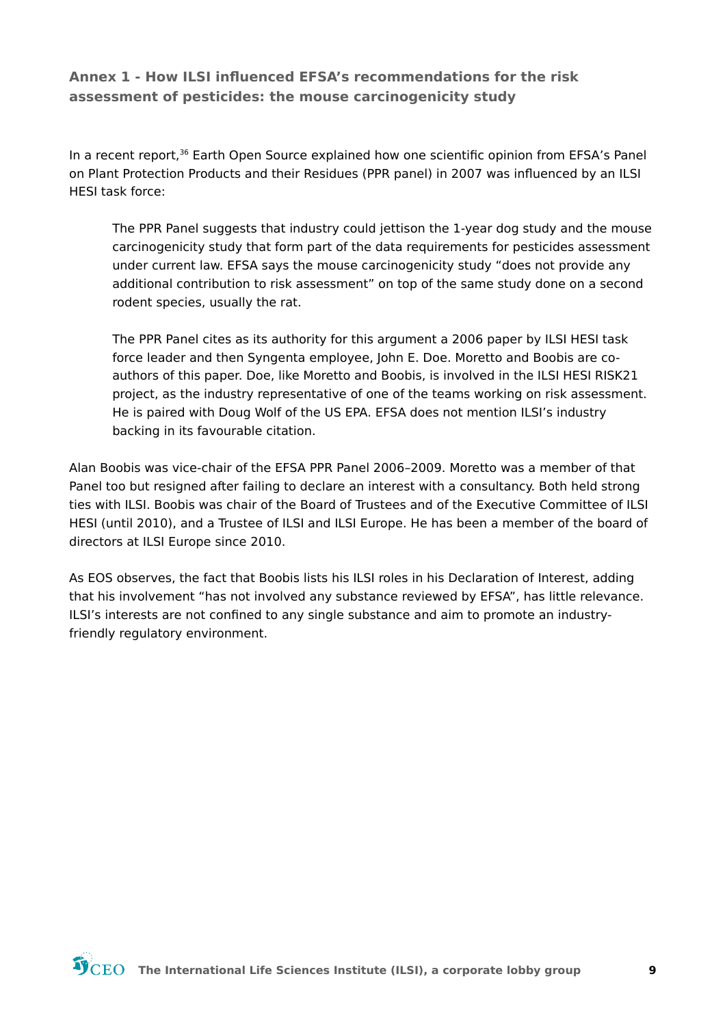#### Annex 1 - How ILSI influenced EFSA's recommendations for the risk assessment of pesticides: the mouse carcinogenicity study

In a recent report,<sup>36</sup> Earth Open Source explained how one scientific opinion from EFSA's Panel on Plant Protection Products and their Residues (PPR panel) in 2007 was influenced by an ILSI **HESI task force:** 

The PPR Panel suggests that industry could jettison the 1-year dog study and the mouse carcinogenicity study that form part of the data requirements for pesticides assessment under current law. EFSA says the mouse carcinogenicity study "does not provide any additional contribution to risk assessment" on top of the same study done on a second rodent species, usually the rat.

The PPR Panel cites as its authority for this argument a 2006 paper by ILSI HESI task force leader and then Syngenta employee, John E. Doe. Moretto and Boobis are coauthors of this paper. Doe, like Moretto and Boobis, is involved in the ILSI HESI RISK21 project, as the industry representative of one of the teams working on risk assessment. He is paired with Doug Wolf of the US EPA. EFSA does not mention ILSI's industry backing in its favourable citation.

Alan Boobis was vice-chair of the EFSA PPR Panel 2006-2009. Moretto was a member of that Panel too but resigned after failing to declare an interest with a consultancy. Both held strong ties with ILSI. Boobis was chair of the Board of Trustees and of the Executive Committee of ILSI HESI (until 2010), and a Trustee of ILSI and ILSI Europe. He has been a member of the board of directors at ILSI Europe since 2010.

As EOS observes, the fact that Boobis lists his ILSI roles in his Declaration of Interest, adding that his involvement "has not involved any substance reviewed by EFSA", has little relevance. ILSI's interests are not confined to any single substance and aim to promote an industryfriendly regulatory environment.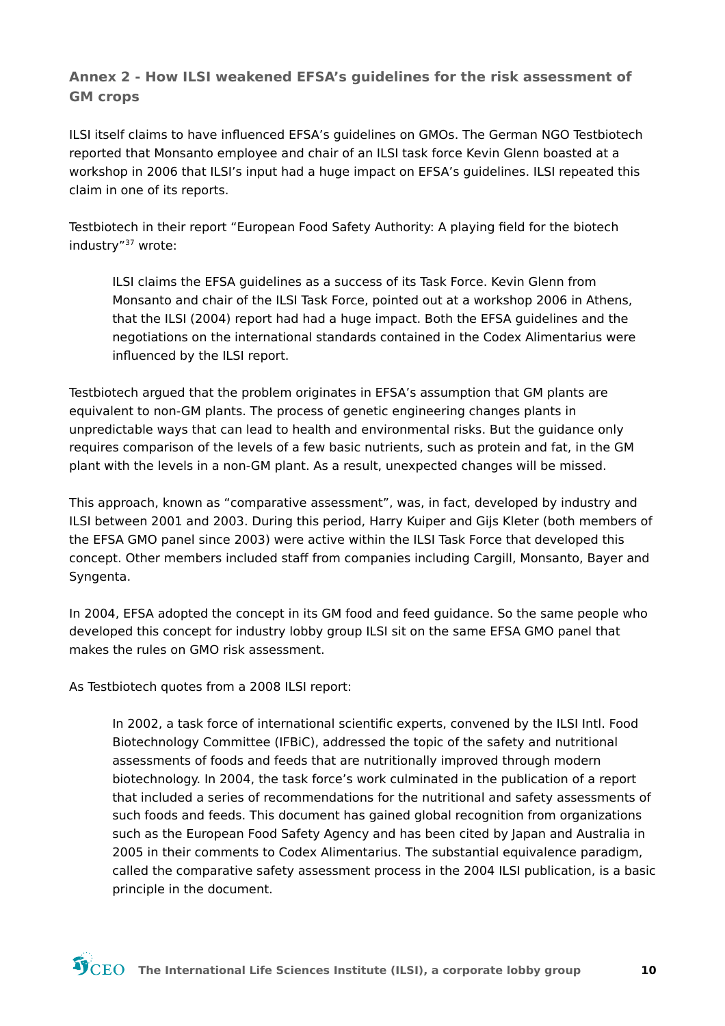#### Annex 2 - How ILSI weakened EFSA's quidelines for the risk assessment of **GM** crops

ILSI itself claims to have influenced EFSA's guidelines on GMOs. The German NGO Testbiotech reported that Monsanto employee and chair of an ILSI task force Kevin Glenn boasted at a workshop in 2006 that ILSI's input had a huge impact on EFSA's guidelines. ILSI repeated this claim in one of its reports.

Testbiotech in their report "European Food Safety Authority: A playing field for the biotech industry"<sup>37</sup> wrote:

ILSI claims the EFSA guidelines as a success of its Task Force. Kevin Glenn from Monsanto and chair of the ILSI Task Force, pointed out at a workshop 2006 in Athens, that the ILSI (2004) report had had a huge impact. Both the EFSA guidelines and the negotiations on the international standards contained in the Codex Alimentarius were influenced by the ILSI report.

Testbiotech argued that the problem originates in EFSA's assumption that GM plants are equivalent to non-GM plants. The process of genetic engineering changes plants in unpredictable ways that can lead to health and environmental risks. But the quidance only requires comparison of the levels of a few basic nutrients, such as protein and fat, in the GM plant with the levels in a non-GM plant. As a result, unexpected changes will be missed.

This approach, known as "comparative assessment", was, in fact, developed by industry and ILSI between 2001 and 2003. During this period, Harry Kuiper and Gijs Kleter (both members of the EFSA GMO panel since 2003) were active within the ILSI Task Force that developed this concept. Other members included staff from companies including Cargill, Monsanto, Bayer and Syngenta.

In 2004, EFSA adopted the concept in its GM food and feed guidance. So the same people who developed this concept for industry lobby group ILSI sit on the same EFSA GMO panel that makes the rules on GMO risk assessment

As Testbiotech quotes from a 2008 ILSI report:

In 2002, a task force of international scientific experts, convened by the ILSI Intl. Food Biotechnology Committee (IFBIC), addressed the topic of the safety and nutritional assessments of foods and feeds that are nutritionally improved through modern biotechnology. In 2004, the task force's work culminated in the publication of a report that included a series of recommendations for the nutritional and safety assessments of such foods and feeds. This document has gained global recognition from organizations such as the European Food Safety Agency and has been cited by Japan and Australia in 2005 in their comments to Codex Alimentarius. The substantial equivalence paradigm, called the comparative safety assessment process in the 2004 ILSI publication, is a basic principle in the document.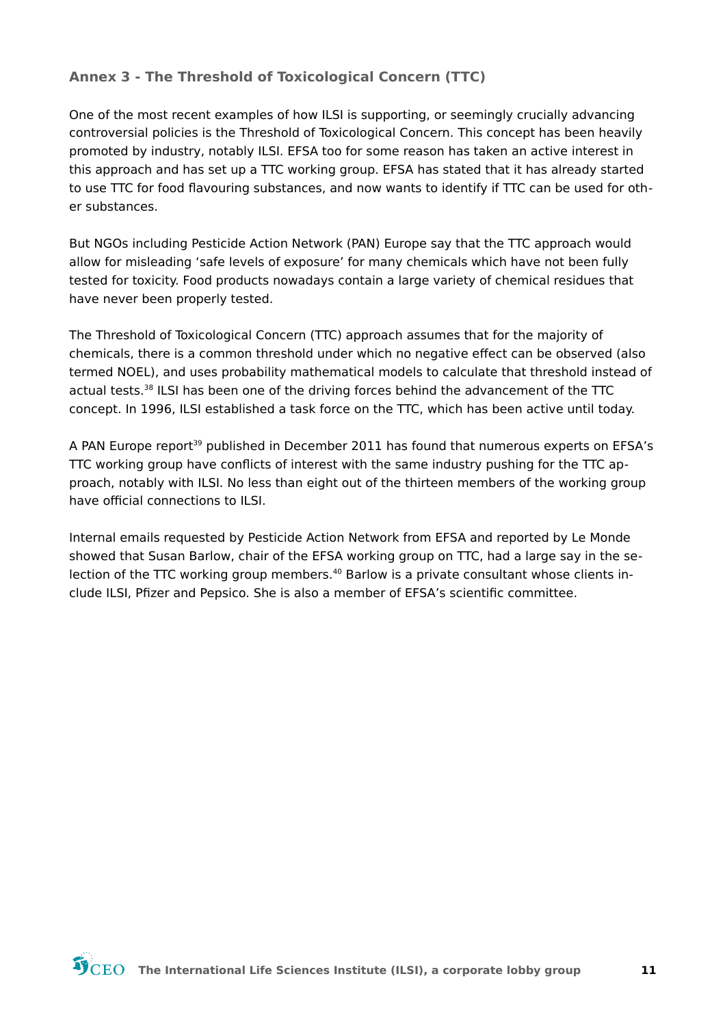#### Annex 3 - The Threshold of Toxicological Concern (TTC)

One of the most recent examples of how ILSI is supporting, or seemingly crucially advancing controversial policies is the Threshold of Toxicological Concern. This concept has been heavily promoted by industry, notably ILSI. EFSA too for some reason has taken an active interest in this approach and has set up a TTC working group. EFSA has stated that it has already started to use TTC for food flavouring substances, and now wants to identify if TTC can be used for other substances.

But NGOs including Pesticide Action Network (PAN) Europe say that the TTC approach would allow for misleading 'safe levels of exposure' for many chemicals which have not been fully tested for toxicity. Food products nowadays contain a large variety of chemical residues that have never been properly tested.

The Threshold of Toxicological Concern (TTC) approach assumes that for the majority of chemicals, there is a common threshold under which no negative effect can be observed (also termed NOEL), and uses probability mathematical models to calculate that threshold instead of actual tests.<sup>38</sup> ILSI has been one of the driving forces behind the advancement of the TTC concept. In 1996, ILSI established a task force on the TTC, which has been active until today.

A PAN Europe report<sup>39</sup> published in December 2011 has found that numerous experts on EFSA's TTC working group have conflicts of interest with the same industry pushing for the TTC approach, notably with ILSI. No less than eight out of the thirteen members of the working group have official connections to ILSI.

Internal emails requested by Pesticide Action Network from EFSA and reported by Le Monde showed that Susan Barlow, chair of the EFSA working group on TTC, had a large say in the selection of the TTC working group members.<sup>40</sup> Barlow is a private consultant whose clients include ILSI, Pfizer and Pepsico. She is also a member of EFSA's scientific committee.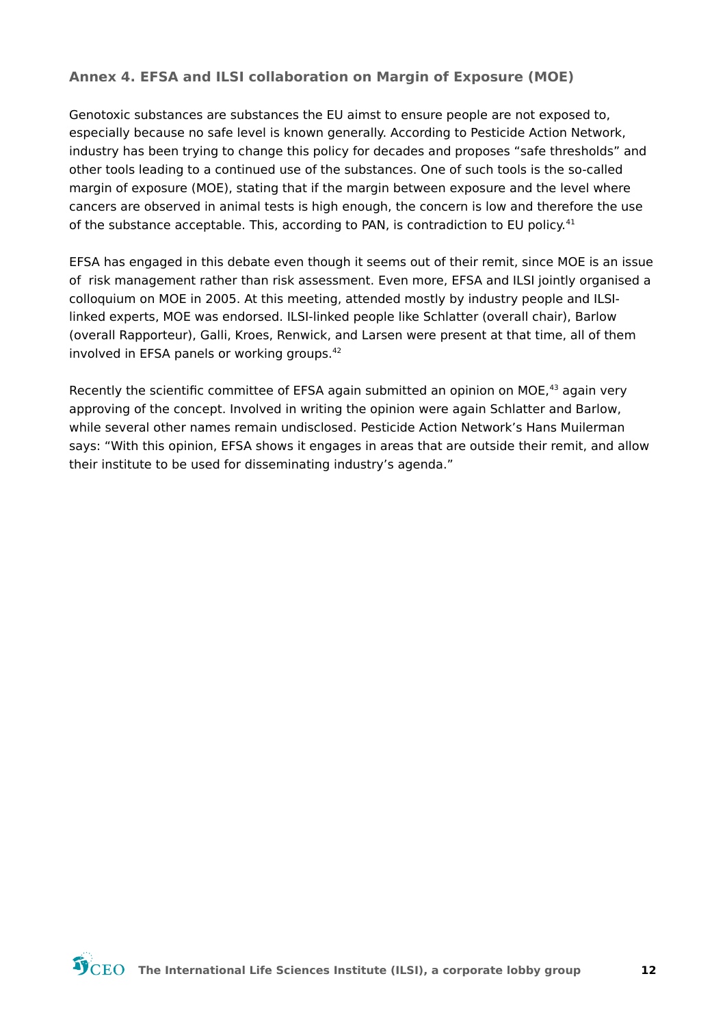#### Annex 4. EFSA and ILSI collaboration on Margin of Exposure (MOE)

Genotoxic substances are substances the EU aimst to ensure people are not exposed to, especially because no safe level is known generally. According to Pesticide Action Network, industry has been trying to change this policy for decades and proposes "safe thresholds" and other tools leading to a continued use of the substances. One of such tools is the so-called margin of exposure (MOE), stating that if the margin between exposure and the level where cancers are observed in animal tests is high enough, the concern is low and therefore the use of the substance acceptable. This, according to PAN, is contradiction to EU policy.<sup>41</sup>

EFSA has engaged in this debate even though it seems out of their remit, since MOE is an issue of risk management rather than risk assessment. Even more, EFSA and ILSI jointly organised a colloquium on MOE in 2005. At this meeting, attended mostly by industry people and ILSIlinked experts, MOE was endorsed. ILSI-linked people like Schlatter (overall chair), Barlow (overall Rapporteur), Galli, Kroes, Renwick, and Larsen were present at that time, all of them involved in EFSA panels or working groups.<sup>42</sup>

Recently the scientific committee of EFSA again submitted an opinion on MOE,<sup>43</sup> again very approving of the concept. Involved in writing the opinion were again Schlatter and Barlow, while several other names remain undisclosed. Pesticide Action Network's Hans Muilerman says: "With this opinion, EFSA shows it engages in areas that are outside their remit, and allow their institute to be used for disseminating industry's agenda."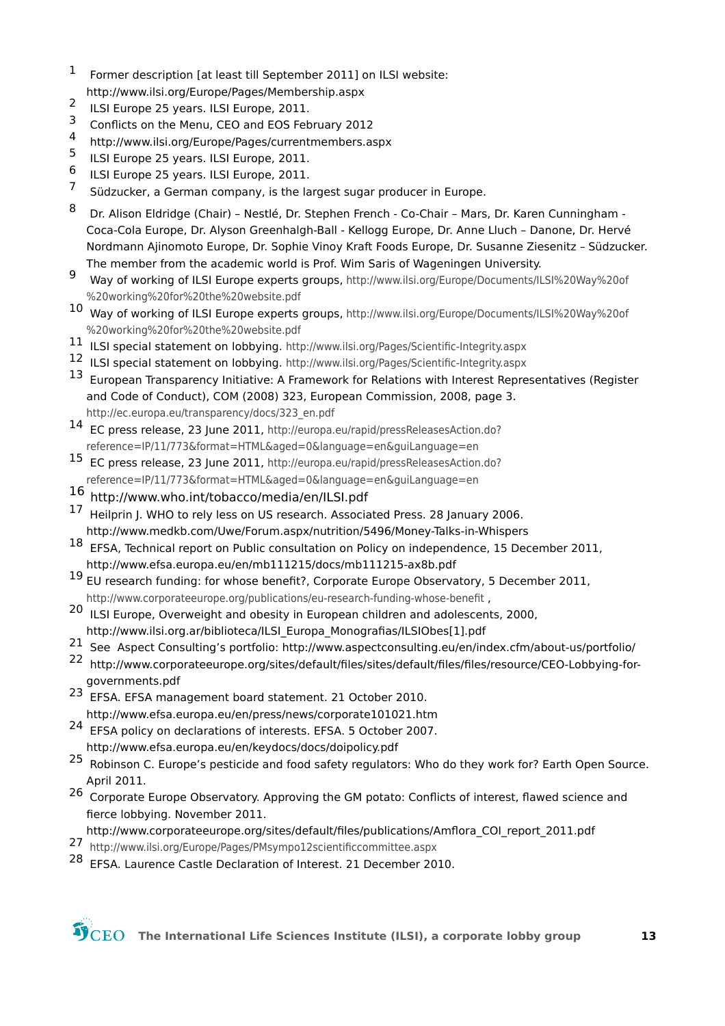- <span id="page-12-1"></span> $\mathbf 1$ Former description [at least till September 2011] on ILSI website: http://www.ilsi.org/Europe/Pages/Membership.aspx
- <span id="page-12-2"></span> $2<sup>1</sup>$ ILSI Europe 25 years. ILSI Europe, 2011.
- <span id="page-12-3"></span>3 Conflicts on the Menu, CEO and EOS February 2012
- <span id="page-12-0"></span>4 http://www.ilsi.org/Europe/Pages/currentmembers.aspx
- <span id="page-12-5"></span>5 ILSI Europe 25 years. ILSI Europe, 2011.
- <span id="page-12-6"></span>6 ILSI Europe 25 years. ILSI Europe, 2011.
- <span id="page-12-7"></span> $\overline{7}$ Südzucker, a German company, is the largest sugar producer in Europe.
- <span id="page-12-8"></span>8 Dr. Alison Eldridge (Chair) - Nestlé, Dr. Stephen French - Co-Chair - Mars, Dr. Karen Cunningham -Coca-Cola Europe, Dr. Alyson Greenhalgh-Ball - Kellogg Europe, Dr. Anne Lluch - Danone, Dr. Hervé Nordmann Ajinomoto Europe, Dr. Sophie Vinoy Kraft Foods Europe, Dr. Susanne Ziesenitz - Südzucker. The member from the academic world is Prof. Wim Saris of Wageningen University.
- <span id="page-12-4"></span> $\mathbf{q}$ Way of working of ILSI Europe experts groups, http://www.ilsi.org/Europe/Documents/ILSI%20Way%20of %20working%20for%20the%20website.pdf
- <span id="page-12-10"></span>10 Way of working of ILSI Europe experts groups, http://www.ilsi.org/Europe/Documents/ILSI%20Way%20of %20working%20for%20the%20website.pdf
- <span id="page-12-11"></span>11 ILSI special statement on lobbying. http://www.ilsi.org/Pages/Scientific-Integrity.aspx
- <span id="page-12-9"></span>12 ILSI special statement on lobbying. http://www.ilsi.org/Pages/Scientific-Integrity.aspx
- <span id="page-12-13"></span>13 European Transparency Initiative: A Framework for Relations with Interest Representatives (Register and Code of Conduct). COM (2008) 323. European Commission. 2008. page 3. http://ec.europa.eu/transparency/docs/323 en.pdf
- <span id="page-12-14"></span>14 EC press release, 23 June 2011, http://europa.eu/rapid/pressReleasesAction.do? reference=IP/11/773&format=HTML&aged=0&language=en&guiLanguage=en
- <span id="page-12-15"></span>15 EC press release, 23 June 2011, http://europa.eu/rapid/pressReleasesAction.do?
- reference=IP/11/773&format=HTML&aged=0&language=en&guiLanguage=en
- <span id="page-12-12"></span>16 http://www.who.int/tobacco/media/en/ILSI.pdf
- <span id="page-12-17"></span>17 Heilprin J. WHO to rely less on US research. Associated Press. 28 January 2006. http://www.medkb.com/Uwe/Forum.aspx/nutrition/5496/Money-Talks-in-Whispers
- <span id="page-12-18"></span>18 EFSA, Technical report on Public consultation on Policy on independence, 15 December 2011, http://www.efsa.europa.eu/en/mb111215/docs/mb111215-ax8b.pdf
- <span id="page-12-19"></span>19 EU research funding: for whose benefit?, Corporate Europe Observatory, 5 December 2011, http://www.corporateeurope.org/publications/eu-research-funding-whose-benefit,
- <span id="page-12-20"></span>20 ILSI Europe, Overweight and obesity in European children and adolescents, 2000, http://www.ilsi.org.ar/biblioteca/ILSI Europa Monografias/ILSIObes[1].pdf
- <span id="page-12-21"></span>21 See Aspect Consulting's portfolio: http://www.aspectconsulting.eu/en/index.cfm/about-us/portfolio/
- <span id="page-12-16"></span>22 http://www.corporateeurope.org/sites/default/files/sites/default/files/files/resource/CEO-Lobbying-forgovernments.pdf
- <span id="page-12-23"></span>23 EFSA. EFSA management board statement. 21 October 2010. http://www.efsa.europa.eu/en/press/news/corporate101021.htm
- <span id="page-12-24"></span>24 EFSA policy on declarations of interests. EFSA. 5 October 2007. http://www.efsa.europa.eu/en/keydocs/docs/doipolicy.pdf
- <span id="page-12-25"></span>25 Robinson C. Europe's pesticide and food safety regulators: Who do they work for? Earth Open Source. April 2011.
- <span id="page-12-26"></span><sup>26</sup> Corporate Europe Observatory. Approving the GM potato: Conflicts of interest, flawed science and fierce lobbying. November 2011.
- http://www.corporateeurope.org/sites/default/files/publications/Amflora COI report 2011.pdf
- <span id="page-12-27"></span>27 http://www.ilsi.org/Europe/Pages/PMsympo12scientificcommittee.aspx
- <span id="page-12-22"></span><sup>28</sup> EFSA. Laurence Castle Declaration of Interest. 21 December 2010.